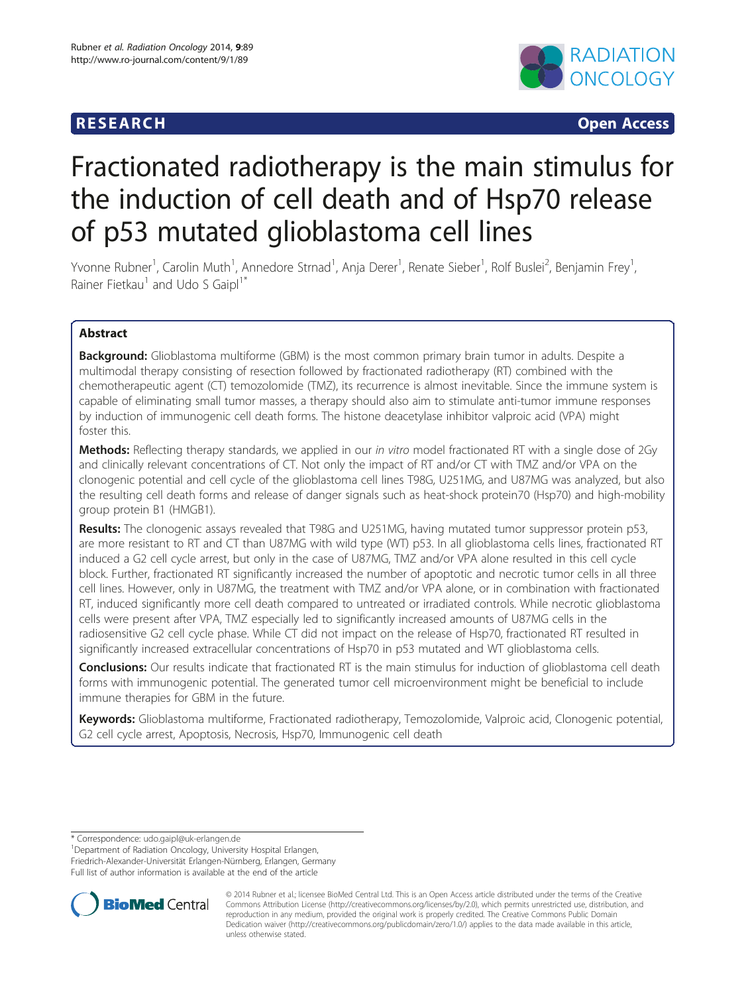## **RESEARCH CHILD CONTROL** CONTROL CONTROL CONTROL CONTROL CONTROL CONTROL CONTROL CONTROL CONTROL CONTROL CONTROL CONTROL CONTROL CONTROL CONTROL CONTROL CONTROL CONTROL CONTROL CONTROL CONTROL CONTROL CONTROL CONTROL CONTR



# Fractionated radiotherapy is the main stimulus for the induction of cell death and of Hsp70 release of p53 mutated glioblastoma cell lines

Yvonne Rubner<sup>1</sup>, Carolin Muth<sup>1</sup>, Annedore Strnad<sup>1</sup>, Anja Derer<sup>1</sup>, Renate Sieber<sup>1</sup>, Rolf Buslei<sup>2</sup>, Benjamin Frey<sup>1</sup> , Rainer Fietkau<sup>1</sup> and Udo S Gaipl<sup>1\*</sup>

## Abstract

**Background:** Glioblastoma multiforme (GBM) is the most common primary brain tumor in adults. Despite a multimodal therapy consisting of resection followed by fractionated radiotherapy (RT) combined with the chemotherapeutic agent (CT) temozolomide (TMZ), its recurrence is almost inevitable. Since the immune system is capable of eliminating small tumor masses, a therapy should also aim to stimulate anti-tumor immune responses by induction of immunogenic cell death forms. The histone deacetylase inhibitor valproic acid (VPA) might foster this.

Methods: Reflecting therapy standards, we applied in our in vitro model fractionated RT with a single dose of 2Gy and clinically relevant concentrations of CT. Not only the impact of RT and/or CT with TMZ and/or VPA on the clonogenic potential and cell cycle of the glioblastoma cell lines T98G, U251MG, and U87MG was analyzed, but also the resulting cell death forms and release of danger signals such as heat-shock protein70 (Hsp70) and high-mobility group protein B1 (HMGB1).

Results: The clonogenic assays revealed that T98G and U251MG, having mutated tumor suppressor protein p53, are more resistant to RT and CT than U87MG with wild type (WT) p53. In all glioblastoma cells lines, fractionated RT induced a G2 cell cycle arrest, but only in the case of U87MG, TMZ and/or VPA alone resulted in this cell cycle block. Further, fractionated RT significantly increased the number of apoptotic and necrotic tumor cells in all three cell lines. However, only in U87MG, the treatment with TMZ and/or VPA alone, or in combination with fractionated RT, induced significantly more cell death compared to untreated or irradiated controls. While necrotic glioblastoma cells were present after VPA, TMZ especially led to significantly increased amounts of U87MG cells in the radiosensitive G2 cell cycle phase. While CT did not impact on the release of Hsp70, fractionated RT resulted in significantly increased extracellular concentrations of Hsp70 in p53 mutated and WT glioblastoma cells.

**Conclusions:** Our results indicate that fractionated RT is the main stimulus for induction of glioblastoma cell death forms with immunogenic potential. The generated tumor cell microenvironment might be beneficial to include immune therapies for GBM in the future.

Keywords: Glioblastoma multiforme, Fractionated radiotherapy, Temozolomide, Valproic acid, Clonogenic potential, G2 cell cycle arrest, Apoptosis, Necrosis, Hsp70, Immunogenic cell death

\* Correspondence: [udo.gaipl@uk-erlangen.de](mailto:udo.gaipl@uk-erlangen.de) <sup>1</sup>

<sup>1</sup> Department of Radiation Oncology, University Hospital Erlangen, Friedrich-Alexander-Universität Erlangen-Nürnberg, Erlangen, Germany Full list of author information is available at the end of the article



© 2014 Rubner et al.; licensee BioMed Central Ltd. This is an Open Access article distributed under the terms of the Creative Commons Attribution License [\(http://creativecommons.org/licenses/by/2.0\)](http://creativecommons.org/licenses/by/2.0), which permits unrestricted use, distribution, and reproduction in any medium, provided the original work is properly credited. The Creative Commons Public Domain Dedication waiver [\(http://creativecommons.org/publicdomain/zero/1.0/](http://creativecommons.org/publicdomain/zero/1.0/)) applies to the data made available in this article, unless otherwise stated.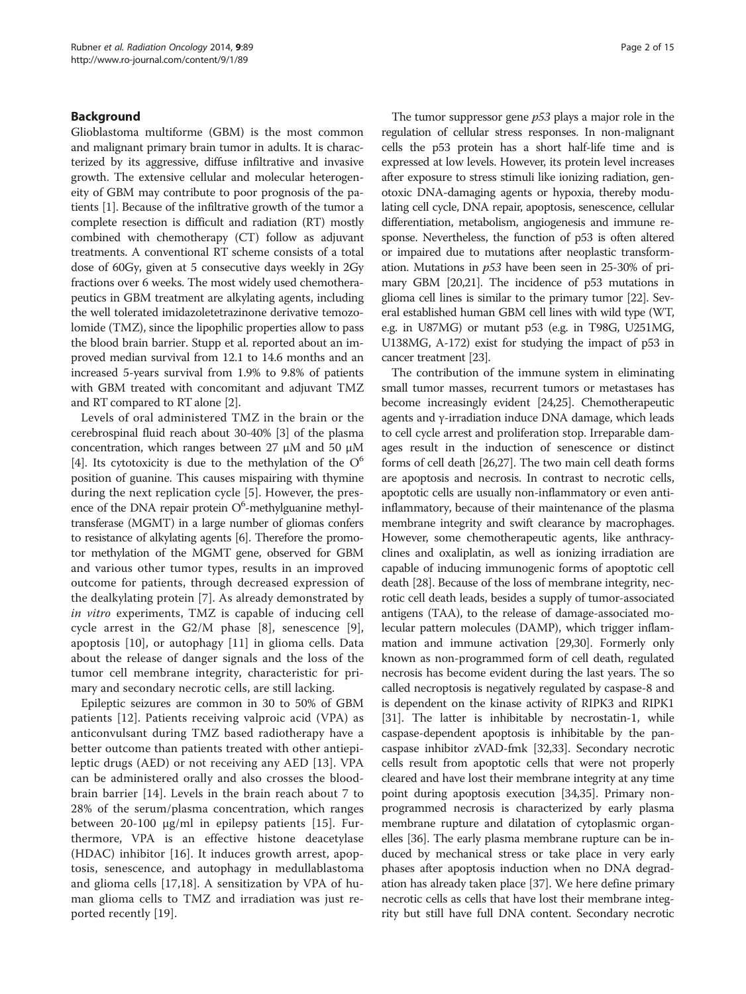#### Background

Glioblastoma multiforme (GBM) is the most common and malignant primary brain tumor in adults. It is characterized by its aggressive, diffuse infiltrative and invasive growth. The extensive cellular and molecular heterogeneity of GBM may contribute to poor prognosis of the patients [[1](#page-11-0)]. Because of the infiltrative growth of the tumor a complete resection is difficult and radiation (RT) mostly combined with chemotherapy (CT) follow as adjuvant treatments. A conventional RT scheme consists of a total dose of 60Gy, given at 5 consecutive days weekly in 2Gy fractions over 6 weeks. The most widely used chemotherapeutics in GBM treatment are alkylating agents, including the well tolerated imidazoletetrazinone derivative temozolomide (TMZ), since the lipophilic properties allow to pass the blood brain barrier. Stupp et al. reported about an improved median survival from 12.1 to 14.6 months and an increased 5-years survival from 1.9% to 9.8% of patients with GBM treated with concomitant and adjuvant TMZ and RT compared to RT alone [\[2](#page-11-0)].

Levels of oral administered TMZ in the brain or the cerebrospinal fluid reach about 30-40% [\[3](#page-11-0)] of the plasma concentration, which ranges between 27 μM and 50 μM [[4\]](#page-11-0). Its cytotoxicity is due to the methylation of the  $O^6$ position of guanine. This causes mispairing with thymine during the next replication cycle [\[5](#page-11-0)]. However, the presence of the DNA repair protein O<sup>6</sup>-methylguanine methyltransferase (MGMT) in a large number of gliomas confers to resistance of alkylating agents [[6](#page-12-0)]. Therefore the promotor methylation of the MGMT gene, observed for GBM and various other tumor types, results in an improved outcome for patients, through decreased expression of the dealkylating protein [\[7](#page-12-0)]. As already demonstrated by in vitro experiments, TMZ is capable of inducing cell cycle arrest in the G2/M phase [\[8](#page-12-0)], senescence [\[9](#page-12-0)], apoptosis [[10](#page-12-0)], or autophagy [\[11](#page-12-0)] in glioma cells. Data about the release of danger signals and the loss of the tumor cell membrane integrity, characteristic for primary and secondary necrotic cells, are still lacking.

Epileptic seizures are common in 30 to 50% of GBM patients [[12\]](#page-12-0). Patients receiving valproic acid (VPA) as anticonvulsant during TMZ based radiotherapy have a better outcome than patients treated with other antiepileptic drugs (AED) or not receiving any AED [[13\]](#page-12-0). VPA can be administered orally and also crosses the bloodbrain barrier [\[14](#page-12-0)]. Levels in the brain reach about 7 to 28% of the serum/plasma concentration, which ranges between 20-100 μg/ml in epilepsy patients [\[15](#page-12-0)]. Furthermore, VPA is an effective histone deacetylase (HDAC) inhibitor [[16\]](#page-12-0). It induces growth arrest, apoptosis, senescence, and autophagy in medullablastoma and glioma cells [[17,18](#page-12-0)]. A sensitization by VPA of human glioma cells to TMZ and irradiation was just reported recently [[19\]](#page-12-0).

The tumor suppressor gene p53 plays a major role in the regulation of cellular stress responses. In non-malignant cells the p53 protein has a short half-life time and is expressed at low levels. However, its protein level increases after exposure to stress stimuli like ionizing radiation, genotoxic DNA-damaging agents or hypoxia, thereby modulating cell cycle, DNA repair, apoptosis, senescence, cellular differentiation, metabolism, angiogenesis and immune response. Nevertheless, the function of p53 is often altered or impaired due to mutations after neoplastic transformation. Mutations in  $p53$  have been seen in 25-30% of primary GBM [[20,21\]](#page-12-0). The incidence of p53 mutations in glioma cell lines is similar to the primary tumor [[22](#page-12-0)]. Several established human GBM cell lines with wild type (WT, e.g. in U87MG) or mutant p53 (e.g. in T98G, U251MG, U138MG, A-172) exist for studying the impact of p53 in cancer treatment [\[23\]](#page-12-0).

The contribution of the immune system in eliminating small tumor masses, recurrent tumors or metastases has become increasingly evident [\[24,25](#page-12-0)]. Chemotherapeutic agents and γ-irradiation induce DNA damage, which leads to cell cycle arrest and proliferation stop. Irreparable damages result in the induction of senescence or distinct forms of cell death [[26,27\]](#page-12-0). The two main cell death forms are apoptosis and necrosis. In contrast to necrotic cells, apoptotic cells are usually non-inflammatory or even antiinflammatory, because of their maintenance of the plasma membrane integrity and swift clearance by macrophages. However, some chemotherapeutic agents, like anthracyclines and oxaliplatin, as well as ionizing irradiation are capable of inducing immunogenic forms of apoptotic cell death [\[28](#page-12-0)]. Because of the loss of membrane integrity, necrotic cell death leads, besides a supply of tumor-associated antigens (TAA), to the release of damage-associated molecular pattern molecules (DAMP), which trigger inflammation and immune activation [[29,30](#page-12-0)]. Formerly only known as non-programmed form of cell death, regulated necrosis has become evident during the last years. The so called necroptosis is negatively regulated by caspase-8 and is dependent on the kinase activity of RIPK3 and RIPK1 [[31](#page-12-0)]. The latter is inhibitable by necrostatin-1, while caspase-dependent apoptosis is inhibitable by the pancaspase inhibitor zVAD-fmk [\[32,33](#page-12-0)]. Secondary necrotic cells result from apoptotic cells that were not properly cleared and have lost their membrane integrity at any time point during apoptosis execution [\[34,35\]](#page-12-0). Primary nonprogrammed necrosis is characterized by early plasma membrane rupture and dilatation of cytoplasmic organelles [\[36\]](#page-12-0). The early plasma membrane rupture can be induced by mechanical stress or take place in very early phases after apoptosis induction when no DNA degradation has already taken place [[37](#page-12-0)]. We here define primary necrotic cells as cells that have lost their membrane integrity but still have full DNA content. Secondary necrotic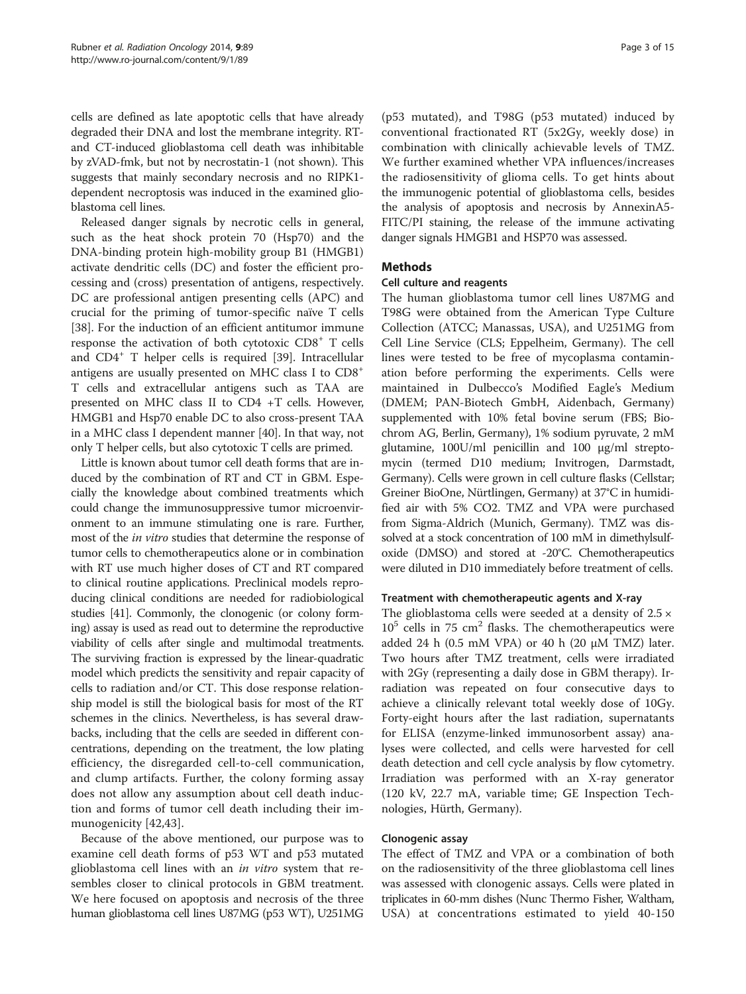cells are defined as late apoptotic cells that have already degraded their DNA and lost the membrane integrity. RTand CT-induced glioblastoma cell death was inhibitable by zVAD-fmk, but not by necrostatin-1 (not shown). This suggests that mainly secondary necrosis and no RIPK1 dependent necroptosis was induced in the examined glioblastoma cell lines.

Released danger signals by necrotic cells in general, such as the heat shock protein 70 (Hsp70) and the DNA-binding protein high-mobility group B1 (HMGB1) activate dendritic cells (DC) and foster the efficient processing and (cross) presentation of antigens, respectively. DC are professional antigen presenting cells (APC) and crucial for the priming of tumor-specific naïve T cells [[38\]](#page-12-0). For the induction of an efficient antitumor immune response the activation of both cytotoxic CD8<sup>+</sup> T cells and CD4<sup>+</sup> T helper cells is required [[39\]](#page-12-0). Intracellular antigens are usually presented on MHC class I to CD8<sup>+</sup> T cells and extracellular antigens such as TAA are presented on MHC class II to CD4 +T cells. However, HMGB1 and Hsp70 enable DC to also cross-present TAA in a MHC class I dependent manner [\[40](#page-12-0)]. In that way, not only T helper cells, but also cytotoxic T cells are primed.

Little is known about tumor cell death forms that are induced by the combination of RT and CT in GBM. Especially the knowledge about combined treatments which could change the immunosuppressive tumor microenvironment to an immune stimulating one is rare. Further, most of the in vitro studies that determine the response of tumor cells to chemotherapeutics alone or in combination with RT use much higher doses of CT and RT compared to clinical routine applications. Preclinical models reproducing clinical conditions are needed for radiobiological studies [[41](#page-12-0)]. Commonly, the clonogenic (or colony forming) assay is used as read out to determine the reproductive viability of cells after single and multimodal treatments. The surviving fraction is expressed by the linear-quadratic model which predicts the sensitivity and repair capacity of cells to radiation and/or CT. This dose response relationship model is still the biological basis for most of the RT schemes in the clinics. Nevertheless, is has several drawbacks, including that the cells are seeded in different concentrations, depending on the treatment, the low plating efficiency, the disregarded cell-to-cell communication, and clump artifacts. Further, the colony forming assay does not allow any assumption about cell death induction and forms of tumor cell death including their immunogenicity [\[42](#page-12-0),[43\]](#page-12-0).

Because of the above mentioned, our purpose was to examine cell death forms of p53 WT and p53 mutated glioblastoma cell lines with an *in vitro* system that resembles closer to clinical protocols in GBM treatment. We here focused on apoptosis and necrosis of the three human glioblastoma cell lines U87MG (p53 WT), U251MG

(p53 mutated), and T98G (p53 mutated) induced by conventional fractionated RT (5x2Gy, weekly dose) in combination with clinically achievable levels of TMZ. We further examined whether VPA influences/increases the radiosensitivity of glioma cells. To get hints about the immunogenic potential of glioblastoma cells, besides the analysis of apoptosis and necrosis by AnnexinA5- FITC/PI staining, the release of the immune activating danger signals HMGB1 and HSP70 was assessed.

## Methods

## Cell culture and reagents

The human glioblastoma tumor cell lines U87MG and T98G were obtained from the American Type Culture Collection (ATCC; Manassas, USA), and U251MG from Cell Line Service (CLS; Eppelheim, Germany). The cell lines were tested to be free of mycoplasma contamination before performing the experiments. Cells were maintained in Dulbecco's Modified Eagle's Medium (DMEM; PAN-Biotech GmbH, Aidenbach, Germany) supplemented with 10% fetal bovine serum (FBS; Biochrom AG, Berlin, Germany), 1% sodium pyruvate, 2 mM glutamine, 100U/ml penicillin and 100 μg/ml streptomycin (termed D10 medium; Invitrogen, Darmstadt, Germany). Cells were grown in cell culture flasks (Cellstar; Greiner BioOne, Nürtlingen, Germany) at 37°C in humidified air with 5% CO2. TMZ and VPA were purchased from Sigma-Aldrich (Munich, Germany). TMZ was dissolved at a stock concentration of 100 mM in dimethylsulfoxide (DMSO) and stored at -20°C. Chemotherapeutics were diluted in D10 immediately before treatment of cells.

#### Treatment with chemotherapeutic agents and X-ray

The glioblastoma cells were seeded at a density of  $2.5 \times$  $10^5$  cells in 75 cm<sup>2</sup> flasks. The chemotherapeutics were added 24 h (0.5 mM VPA) or 40 h (20  $\mu$ M TMZ) later. Two hours after TMZ treatment, cells were irradiated with 2Gy (representing a daily dose in GBM therapy). Irradiation was repeated on four consecutive days to achieve a clinically relevant total weekly dose of 10Gy. Forty-eight hours after the last radiation, supernatants for ELISA (enzyme-linked immunosorbent assay) analyses were collected, and cells were harvested for cell death detection and cell cycle analysis by flow cytometry. Irradiation was performed with an X-ray generator (120 kV, 22.7 mA, variable time; GE Inspection Technologies, Hürth, Germany).

#### Clonogenic assay

The effect of TMZ and VPA or a combination of both on the radiosensitivity of the three glioblastoma cell lines was assessed with clonogenic assays. Cells were plated in triplicates in 60-mm dishes (Nunc Thermo Fisher, Waltham, USA) at concentrations estimated to yield 40-150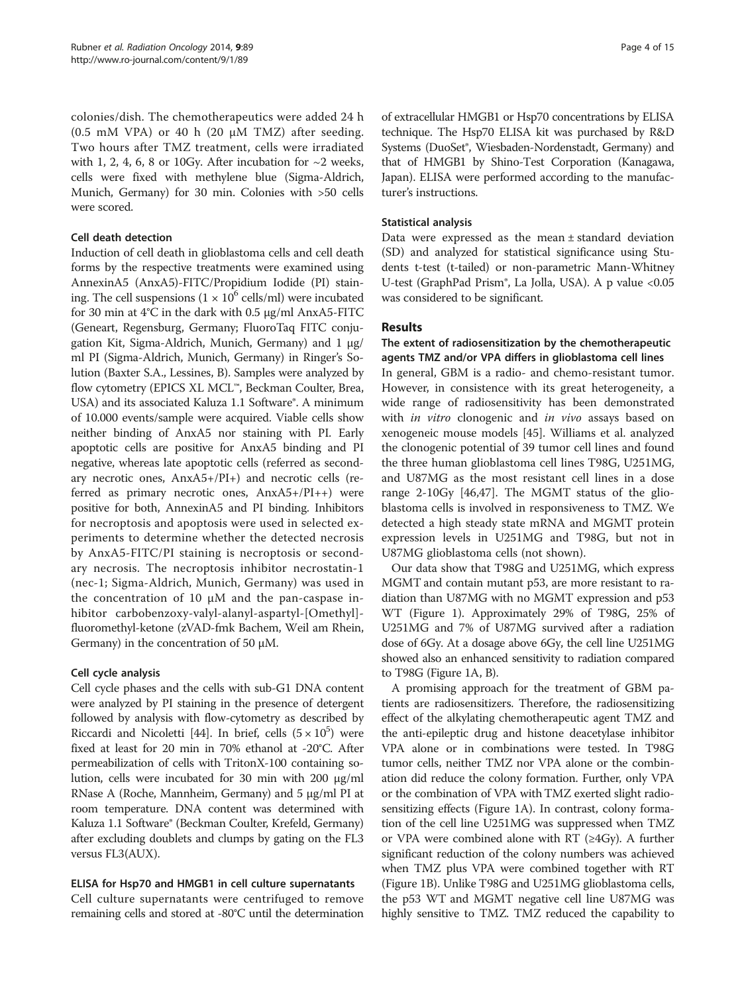colonies/dish. The chemotherapeutics were added 24 h (0.5 mM VPA) or 40 h (20 μM TMZ) after seeding. Two hours after TMZ treatment, cells were irradiated with 1, 2, 4, 6, 8 or 10 Gy. After incubation for  $\sim$  2 weeks, cells were fixed with methylene blue (Sigma-Aldrich, Munich, Germany) for 30 min. Colonies with >50 cells were scored.

#### Cell death detection

Induction of cell death in glioblastoma cells and cell death forms by the respective treatments were examined using AnnexinA5 (AnxA5)-FITC/Propidium Iodide (PI) staining. The cell suspensions  $(1 \times 10^6 \text{ cells/ml})$  were incubated for 30 min at 4°C in the dark with 0.5 μg/ml AnxA5-FITC (Geneart, Regensburg, Germany; FluoroTaq FITC conjugation Kit, Sigma-Aldrich, Munich, Germany) and 1 μg/ ml PI (Sigma-Aldrich, Munich, Germany) in Ringer's Solution (Baxter S.A., Lessines, B). Samples were analyzed by flow cytometry (EPICS XL MCL™, Beckman Coulter, Brea, USA) and its associated Kaluza 1.1 Software®. A minimum of 10.000 events/sample were acquired. Viable cells show neither binding of AnxA5 nor staining with PI. Early apoptotic cells are positive for AnxA5 binding and PI negative, whereas late apoptotic cells (referred as secondary necrotic ones, AnxA5+/PI+) and necrotic cells (referred as primary necrotic ones, AnxA5+/PI++) were positive for both, AnnexinA5 and PI binding. Inhibitors for necroptosis and apoptosis were used in selected experiments to determine whether the detected necrosis by AnxA5-FITC/PI staining is necroptosis or secondary necrosis. The necroptosis inhibitor necrostatin-1 (nec-1; Sigma-Aldrich, Munich, Germany) was used in the concentration of 10 μM and the pan-caspase inhibitor carbobenzoxy-valyl-alanyl-aspartyl-[Omethyl] fluoromethyl-ketone (zVAD-fmk Bachem, Weil am Rhein, Germany) in the concentration of 50 μM.

## Cell cycle analysis

Cell cycle phases and the cells with sub-G1 DNA content were analyzed by PI staining in the presence of detergent followed by analysis with flow-cytometry as described by Riccardi and Nicoletti [[44](#page-12-0)]. In brief, cells  $(5 \times 10^5)$  were fixed at least for 20 min in 70% ethanol at -20°C. After permeabilization of cells with TritonX-100 containing solution, cells were incubated for 30 min with 200 μg/ml RNase A (Roche, Mannheim, Germany) and 5 μg/ml PI at room temperature. DNA content was determined with Kaluza 1.1 Software® (Beckman Coulter, Krefeld, Germany) after excluding doublets and clumps by gating on the FL3 versus FL3(AUX).

## ELISA for Hsp70 and HMGB1 in cell culture supernatants

Cell culture supernatants were centrifuged to remove remaining cells and stored at -80°C until the determination of extracellular HMGB1 or Hsp70 concentrations by ELISA technique. The Hsp70 ELISA kit was purchased by R&D Systems (DuoSet®, Wiesbaden-Nordenstadt, Germany) and that of HMGB1 by Shino-Test Corporation (Kanagawa, Japan). ELISA were performed according to the manufacturer's instructions.

#### Statistical analysis

Data were expressed as the mean ± standard deviation (SD) and analyzed for statistical significance using Students t-test (t-tailed) or non-parametric Mann-Whitney U-test (GraphPad Prism®, La Jolla, USA). A p value <0.05 was considered to be significant.

## **Results**

## The extent of radiosensitization by the chemotherapeutic agents TMZ and/or VPA differs in glioblastoma cell lines

In general, GBM is a radio- and chemo-resistant tumor. However, in consistence with its great heterogeneity, a wide range of radiosensitivity has been demonstrated with *in vitro* clonogenic and *in vivo* assays based on xenogeneic mouse models [[45](#page-12-0)]. Williams et al. analyzed the clonogenic potential of 39 tumor cell lines and found the three human glioblastoma cell lines T98G, U251MG, and U87MG as the most resistant cell lines in a dose range 2-10Gy [[46](#page-12-0),[47](#page-12-0)]. The MGMT status of the glioblastoma cells is involved in responsiveness to TMZ. We detected a high steady state mRNA and MGMT protein expression levels in U251MG and T98G, but not in U87MG glioblastoma cells (not shown).

Our data show that T98G and U251MG, which express MGMT and contain mutant p53, are more resistant to radiation than U87MG with no MGMT expression and p53 WT (Figure [1\)](#page-4-0). Approximately 29% of T98G, 25% of U251MG and 7% of U87MG survived after a radiation dose of 6Gy. At a dosage above 6Gy, the cell line U251MG showed also an enhanced sensitivity to radiation compared to T98G (Figure [1A](#page-4-0), B).

A promising approach for the treatment of GBM patients are radiosensitizers. Therefore, the radiosensitizing effect of the alkylating chemotherapeutic agent TMZ and the anti-epileptic drug and histone deacetylase inhibitor VPA alone or in combinations were tested. In T98G tumor cells, neither TMZ nor VPA alone or the combination did reduce the colony formation. Further, only VPA or the combination of VPA with TMZ exerted slight radiosensitizing effects (Figure [1](#page-4-0)A). In contrast, colony formation of the cell line U251MG was suppressed when TMZ or VPA were combined alone with  $RT$  ( $\geq$ 4Gy). A further significant reduction of the colony numbers was achieved when TMZ plus VPA were combined together with RT (Figure [1](#page-4-0)B). Unlike T98G and U251MG glioblastoma cells, the p53 WT and MGMT negative cell line U87MG was highly sensitive to TMZ. TMZ reduced the capability to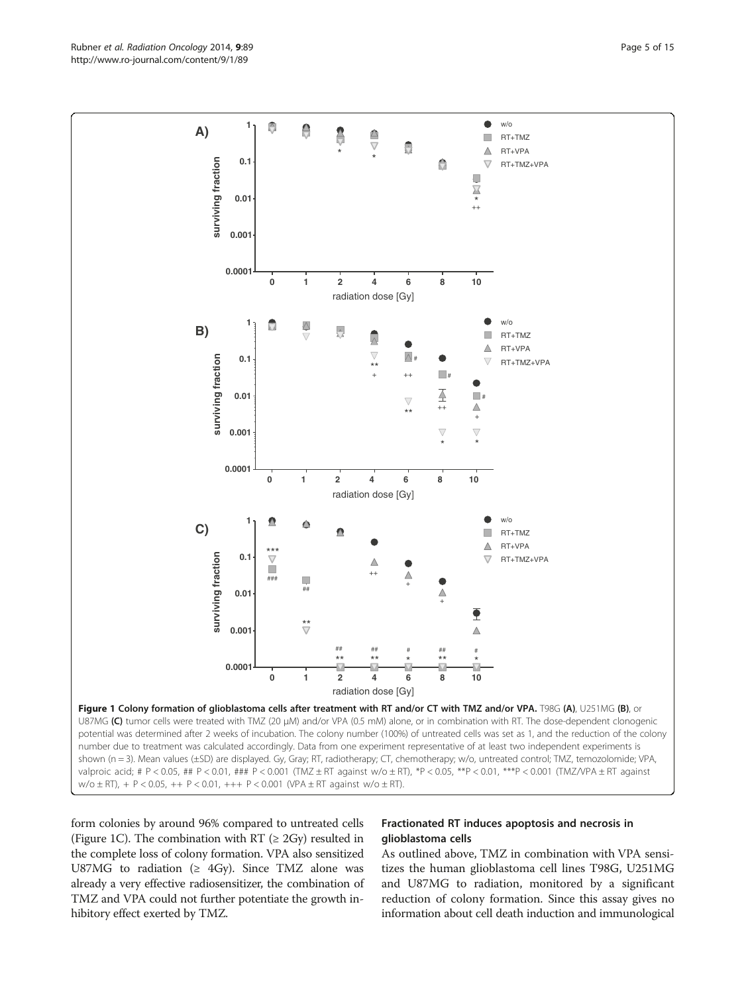form colonies by around 96% compared to untreated cells (Figure 1C). The combination with RT ( $\geq$  2Gy) resulted in the complete loss of colony formation. VPA also sensitized U87MG to radiation ( $\geq$  4Gy). Since TMZ alone was already a very effective radiosensitizer, the combination of TMZ and VPA could not further potentiate the growth inhibitory effect exerted by TMZ.

#### Fractionated RT induces apoptosis and necrosis in glioblastoma cells

As outlined above, TMZ in combination with VPA sensitizes the human glioblastoma cell lines T98G, U251MG and U87MG to radiation, monitored by a significant reduction of colony formation. Since this assay gives no information about cell death induction and immunological

<span id="page-4-0"></span>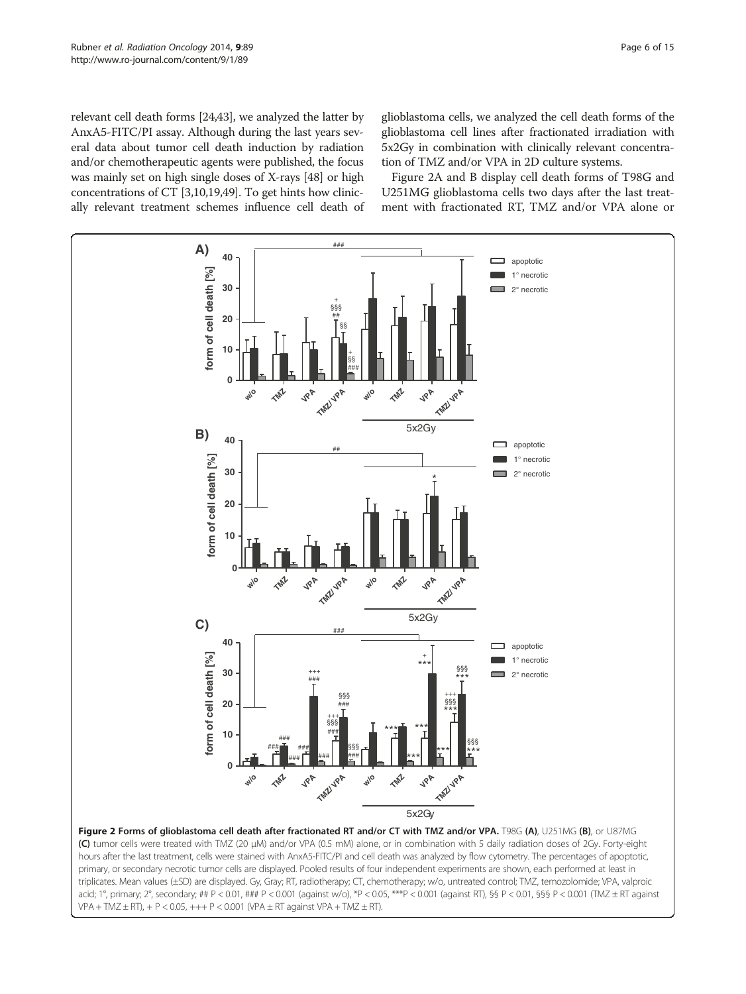<span id="page-5-0"></span>relevant cell death forms [[24,43](#page-12-0)], we analyzed the latter by AnxA5-FITC/PI assay. Although during the last years several data about tumor cell death induction by radiation and/or chemotherapeutic agents were published, the focus was mainly set on high single doses of X-rays [[48](#page-12-0)] or high concentrations of CT [[3](#page-11-0)[,10,19,](#page-12-0)[49](#page-13-0)]. To get hints how clinically relevant treatment schemes influence cell death of

glioblastoma cells, we analyzed the cell death forms of the glioblastoma cell lines after fractionated irradiation with 5x2Gy in combination with clinically relevant concentration of TMZ and/or VPA in 2D culture systems.

Figure 2A and B display cell death forms of T98G and U251MG glioblastoma cells two days after the last treatment with fractionated RT, TMZ and/or VPA alone or

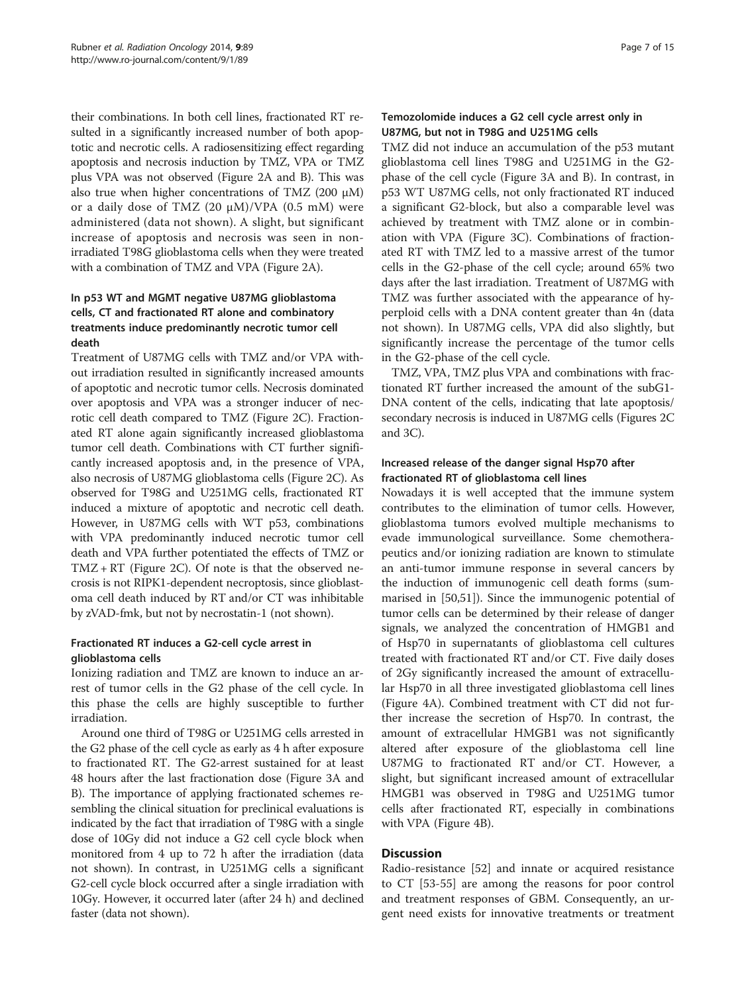their combinations. In both cell lines, fractionated RT resulted in a significantly increased number of both apoptotic and necrotic cells. A radiosensitizing effect regarding apoptosis and necrosis induction by TMZ, VPA or TMZ plus VPA was not observed (Figure [2A](#page-5-0) and B). This was also true when higher concentrations of TMZ (200 μM) or a daily dose of TMZ (20  $\mu$ M)/VPA (0.5 mM) were administered (data not shown). A slight, but significant increase of apoptosis and necrosis was seen in nonirradiated T98G glioblastoma cells when they were treated with a combination of TMZ and VPA (Figure [2A](#page-5-0)).

## In p53 WT and MGMT negative U87MG glioblastoma cells, CT and fractionated RT alone and combinatory treatments induce predominantly necrotic tumor cell death

Treatment of U87MG cells with TMZ and/or VPA without irradiation resulted in significantly increased amounts of apoptotic and necrotic tumor cells. Necrosis dominated over apoptosis and VPA was a stronger inducer of necrotic cell death compared to TMZ (Figure [2](#page-5-0)C). Fractionated RT alone again significantly increased glioblastoma tumor cell death. Combinations with CT further significantly increased apoptosis and, in the presence of VPA, also necrosis of U87MG glioblastoma cells (Figure [2](#page-5-0)C). As observed for T98G and U251MG cells, fractionated RT induced a mixture of apoptotic and necrotic cell death. However, in U87MG cells with WT p53, combinations with VPA predominantly induced necrotic tumor cell death and VPA further potentiated the effects of TMZ or TMZ + RT (Figure [2C](#page-5-0)). Of note is that the observed necrosis is not RIPK1-dependent necroptosis, since glioblastoma cell death induced by RT and/or CT was inhibitable by zVAD-fmk, but not by necrostatin-1 (not shown).

## Fractionated RT induces a G2-cell cycle arrest in glioblastoma cells

Ionizing radiation and TMZ are known to induce an arrest of tumor cells in the G2 phase of the cell cycle. In this phase the cells are highly susceptible to further irradiation.

Around one third of T98G or U251MG cells arrested in the G2 phase of the cell cycle as early as 4 h after exposure to fractionated RT. The G2-arrest sustained for at least 48 hours after the last fractionation dose (Figure [3](#page-8-0)A and B). The importance of applying fractionated schemes resembling the clinical situation for preclinical evaluations is indicated by the fact that irradiation of T98G with a single dose of 10Gy did not induce a G2 cell cycle block when monitored from 4 up to 72 h after the irradiation (data not shown). In contrast, in U251MG cells a significant G2-cell cycle block occurred after a single irradiation with 10Gy. However, it occurred later (after 24 h) and declined faster (data not shown).

## Temozolomide induces a G2 cell cycle arrest only in U87MG, but not in T98G and U251MG cells

TMZ did not induce an accumulation of the p53 mutant glioblastoma cell lines T98G and U251MG in the G2 phase of the cell cycle (Figure [3A](#page-8-0) and B). In contrast, in p53 WT U87MG cells, not only fractionated RT induced a significant G2-block, but also a comparable level was achieved by treatment with TMZ alone or in combination with VPA (Figure [3C](#page-8-0)). Combinations of fractionated RT with TMZ led to a massive arrest of the tumor cells in the G2-phase of the cell cycle; around 65% two days after the last irradiation. Treatment of U87MG with TMZ was further associated with the appearance of hyperploid cells with a DNA content greater than 4n (data not shown). In U87MG cells, VPA did also slightly, but significantly increase the percentage of the tumor cells in the G2-phase of the cell cycle.

TMZ, VPA, TMZ plus VPA and combinations with fractionated RT further increased the amount of the subG1- DNA content of the cells, indicating that late apoptosis/ secondary necrosis is induced in U87MG cells (Figures [2C](#page-5-0) and [3](#page-8-0)C).

## Increased release of the danger signal Hsp70 after fractionated RT of glioblastoma cell lines

Nowadays it is well accepted that the immune system contributes to the elimination of tumor cells. However, glioblastoma tumors evolved multiple mechanisms to evade immunological surveillance. Some chemotherapeutics and/or ionizing radiation are known to stimulate an anti-tumor immune response in several cancers by the induction of immunogenic cell death forms (summarised in [\[50,51](#page-13-0)]). Since the immunogenic potential of tumor cells can be determined by their release of danger signals, we analyzed the concentration of HMGB1 and of Hsp70 in supernatants of glioblastoma cell cultures treated with fractionated RT and/or CT. Five daily doses of 2Gy significantly increased the amount of extracellular Hsp70 in all three investigated glioblastoma cell lines (Figure [4A](#page-8-0)). Combined treatment with CT did not further increase the secretion of Hsp70. In contrast, the amount of extracellular HMGB1 was not significantly altered after exposure of the glioblastoma cell line U87MG to fractionated RT and/or CT. However, a slight, but significant increased amount of extracellular HMGB1 was observed in T98G and U251MG tumor cells after fractionated RT, especially in combinations with VPA (Figure [4](#page-8-0)B).

## **Discussion**

Radio-resistance [\[52](#page-13-0)] and innate or acquired resistance to CT [\[53-55](#page-13-0)] are among the reasons for poor control and treatment responses of GBM. Consequently, an urgent need exists for innovative treatments or treatment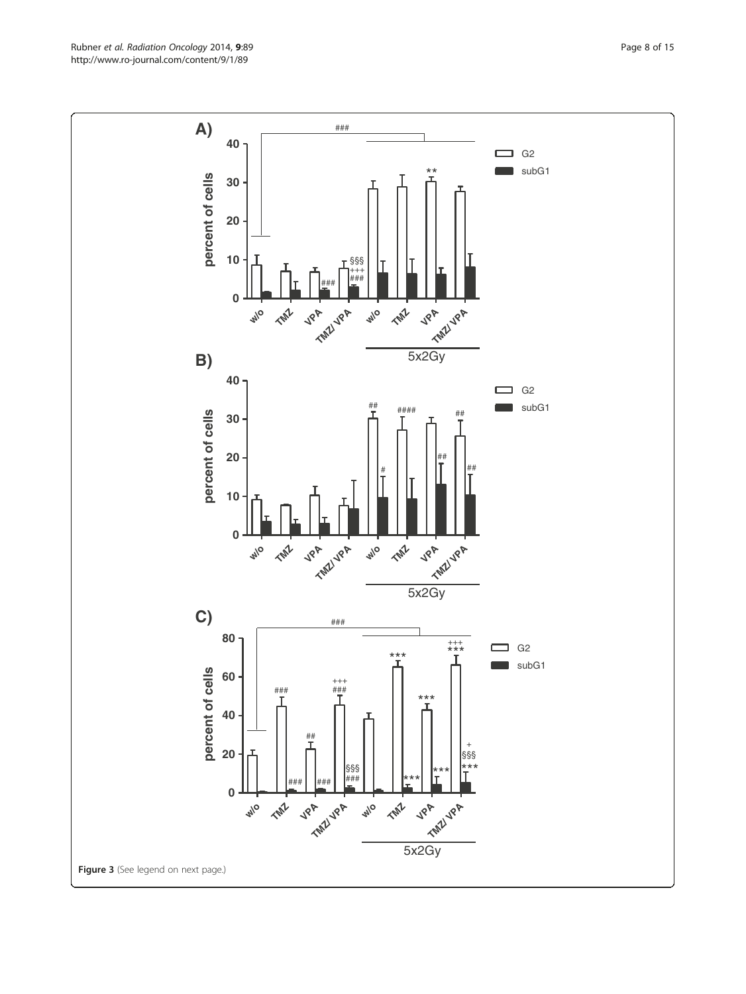Rubner et al. Radiation Oncology 2014, 9:89 Page 8 of 15 http://www.ro-journal.com/content/9/1/89

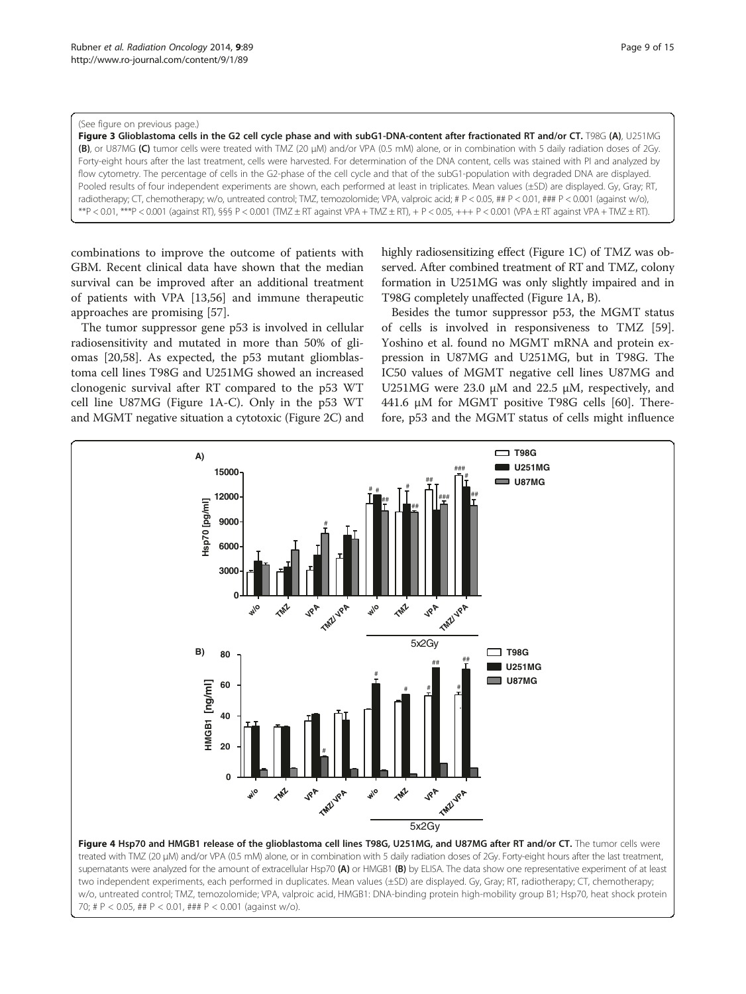#### <span id="page-8-0"></span>(See figure on previous page.)

Figure 3 Glioblastoma cells in the G2 cell cycle phase and with subG1-DNA-content after fractionated RT and/or CT. T98G (A), U251MG (B), or U87MG (C) tumor cells were treated with TMZ (20 μM) and/or VPA (0.5 mM) alone, or in combination with 5 daily radiation doses of 2Gy. Forty-eight hours after the last treatment, cells were harvested. For determination of the DNA content, cells was stained with PI and analyzed by flow cytometry. The percentage of cells in the G2-phase of the cell cycle and that of the subG1-population with degraded DNA are displayed. Pooled results of four independent experiments are shown, each performed at least in triplicates. Mean values (±SD) are displayed. Gy, Gray; RT, radiotherapy; CT, chemotherapy; w/o, untreated control; TMZ, temozolomide; VPA, valproic acid; # P < 0.05, ## P < 0.01, ### P < 0.001 (against w/o), \*\*P < 0.01, \*\*\*P < 0.001 (against RT), §§§ P < 0.001 (TMZ ± RT against VPA + TMZ ± RT), + P < 0.05, +++ P < 0.001 (VPA ± RT against VPA + TMZ ± RT).

combinations to improve the outcome of patients with GBM. Recent clinical data have shown that the median survival can be improved after an additional treatment of patients with VPA [[13](#page-12-0),[56](#page-13-0)] and immune therapeutic approaches are promising [\[57](#page-13-0)].

The tumor suppressor gene p53 is involved in cellular radiosensitivity and mutated in more than 50% of gliomas [\[20,](#page-12-0)[58\]](#page-13-0). As expected, the p53 mutant gliomblastoma cell lines T98G and U251MG showed an increased clonogenic survival after RT compared to the p53 WT cell line U87MG (Figure [1A](#page-4-0)-C). Only in the p53 WT and MGMT negative situation a cytotoxic (Figure [2](#page-5-0)C) and highly radiosensitizing effect (Figure [1C](#page-4-0)) of TMZ was observed. After combined treatment of RT and TMZ, colony formation in U251MG was only slightly impaired and in T98G completely unaffected (Figure [1A](#page-4-0), B).

Besides the tumor suppressor p53, the MGMT status of cells is involved in responsiveness to TMZ [\[59](#page-13-0)]. Yoshino et al. found no MGMT mRNA and protein expression in U87MG and U251MG, but in T98G. The IC50 values of MGMT negative cell lines U87MG and U251MG were 23.0 μM and 22.5 μM, respectively, and 441.6 μM for MGMT positive T98G cells [\[60\]](#page-13-0). Therefore, p53 and the MGMT status of cells might influence



supernatants were analyzed for the amount of extracellular Hsp70 (A) or HMGB1 (B) by ELISA. The data show one representative experiment of at least two independent experiments, each performed in duplicates. Mean values (±SD) are displayed. Gy, Gray; RT, radiotherapy; CT, chemotherapy; w/o, untreated control; TMZ, temozolomide; VPA, valproic acid, HMGB1: DNA-binding protein high-mobility group B1; Hsp70, heat shock protein 70; # P < 0.05, ## P < 0.01, ### P < 0.001 (against w/o).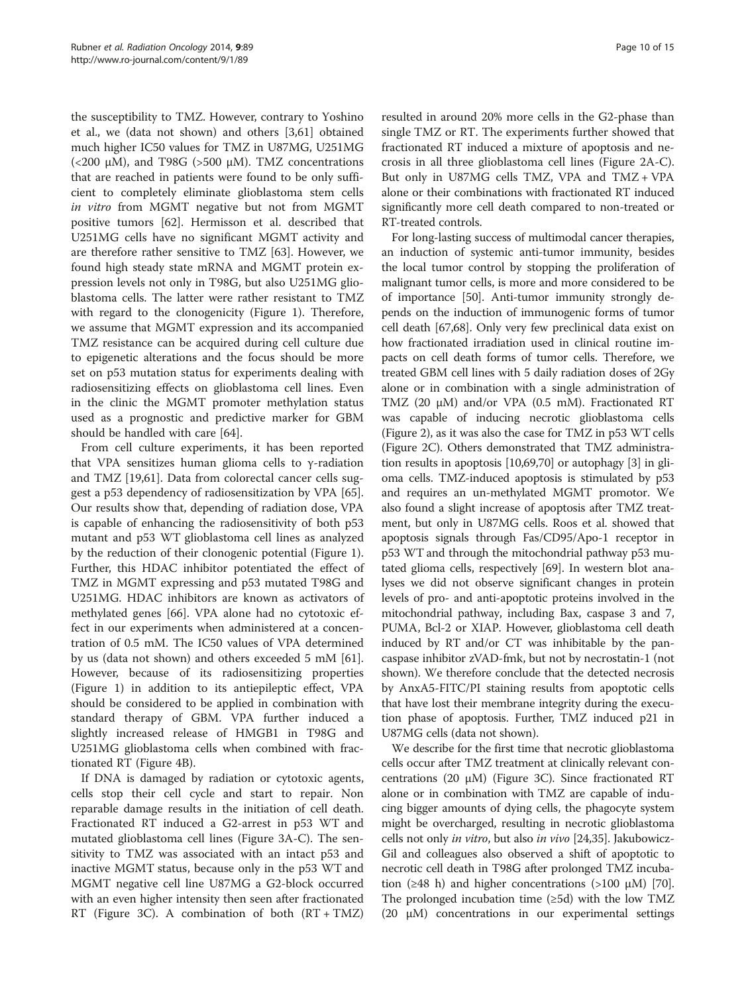the susceptibility to TMZ. However, contrary to Yoshino et al., we (data not shown) and others [[3,](#page-11-0)[61](#page-13-0)] obtained much higher IC50 values for TMZ in U87MG, U251MG (<200 μM), and T98G (>500 μM). TMZ concentrations that are reached in patients were found to be only sufficient to completely eliminate glioblastoma stem cells in vitro from MGMT negative but not from MGMT positive tumors [[62](#page-13-0)]. Hermisson et al. described that U251MG cells have no significant MGMT activity and are therefore rather sensitive to TMZ [\[63](#page-13-0)]. However, we found high steady state mRNA and MGMT protein expression levels not only in T98G, but also U251MG glioblastoma cells. The latter were rather resistant to TMZ with regard to the clonogenicity (Figure [1](#page-4-0)). Therefore, we assume that MGMT expression and its accompanied TMZ resistance can be acquired during cell culture due to epigenetic alterations and the focus should be more set on p53 mutation status for experiments dealing with radiosensitizing effects on glioblastoma cell lines. Even in the clinic the MGMT promoter methylation status used as a prognostic and predictive marker for GBM should be handled with care [[64\]](#page-13-0).

From cell culture experiments, it has been reported that VPA sensitizes human glioma cells to γ-radiation and TMZ [\[19,](#page-12-0)[61\]](#page-13-0). Data from colorectal cancer cells suggest a p53 dependency of radiosensitization by VPA [\[65](#page-13-0)]. Our results show that, depending of radiation dose, VPA is capable of enhancing the radiosensitivity of both p53 mutant and p53 WT glioblastoma cell lines as analyzed by the reduction of their clonogenic potential (Figure [1](#page-4-0)). Further, this HDAC inhibitor potentiated the effect of TMZ in MGMT expressing and p53 mutated T98G and U251MG. HDAC inhibitors are known as activators of methylated genes [\[66\]](#page-13-0). VPA alone had no cytotoxic effect in our experiments when administered at a concentration of 0.5 mM. The IC50 values of VPA determined by us (data not shown) and others exceeded 5 mM [\[61](#page-13-0)]. However, because of its radiosensitizing properties (Figure [1](#page-4-0)) in addition to its antiepileptic effect, VPA should be considered to be applied in combination with standard therapy of GBM. VPA further induced a slightly increased release of HMGB1 in T98G and U251MG glioblastoma cells when combined with fractionated RT (Figure [4](#page-8-0)B).

If DNA is damaged by radiation or cytotoxic agents, cells stop their cell cycle and start to repair. Non reparable damage results in the initiation of cell death. Fractionated RT induced a G2-arrest in p53 WT and mutated glioblastoma cell lines (Figure [3](#page-8-0)A-C). The sensitivity to TMZ was associated with an intact p53 and inactive MGMT status, because only in the p53 WT and MGMT negative cell line U87MG a G2-block occurred with an even higher intensity then seen after fractionated RT (Figure [3](#page-8-0)C). A combination of both (RT + TMZ)

resulted in around 20% more cells in the G2-phase than single TMZ or RT. The experiments further showed that fractionated RT induced a mixture of apoptosis and necrosis in all three glioblastoma cell lines (Figure [2A](#page-5-0)-C). But only in U87MG cells TMZ, VPA and TMZ + VPA alone or their combinations with fractionated RT induced significantly more cell death compared to non-treated or RT-treated controls.

For long-lasting success of multimodal cancer therapies, an induction of systemic anti-tumor immunity, besides the local tumor control by stopping the proliferation of malignant tumor cells, is more and more considered to be of importance [[50\]](#page-13-0). Anti-tumor immunity strongly depends on the induction of immunogenic forms of tumor cell death [\[67,68\]](#page-13-0). Only very few preclinical data exist on how fractionated irradiation used in clinical routine impacts on cell death forms of tumor cells. Therefore, we treated GBM cell lines with 5 daily radiation doses of 2Gy alone or in combination with a single administration of TMZ (20 μM) and/or VPA (0.5 mM). Fractionated RT was capable of inducing necrotic glioblastoma cells (Figure [2](#page-5-0)), as it was also the case for TMZ in p53 WT cells (Figure [2C](#page-5-0)). Others demonstrated that TMZ administration results in apoptosis [[10](#page-12-0)[,69,70\]](#page-13-0) or autophagy [\[3\]](#page-11-0) in glioma cells. TMZ-induced apoptosis is stimulated by p53 and requires an un-methylated MGMT promotor. We also found a slight increase of apoptosis after TMZ treatment, but only in U87MG cells. Roos et al. showed that apoptosis signals through Fas/CD95/Apo-1 receptor in p53 WT and through the mitochondrial pathway p53 mutated glioma cells, respectively [[69](#page-13-0)]. In western blot analyses we did not observe significant changes in protein levels of pro- and anti-apoptotic proteins involved in the mitochondrial pathway, including Bax, caspase 3 and 7, PUMA, Bcl-2 or XIAP. However, glioblastoma cell death induced by RT and/or CT was inhibitable by the pancaspase inhibitor zVAD-fmk, but not by necrostatin-1 (not shown). We therefore conclude that the detected necrosis by AnxA5-FITC/PI staining results from apoptotic cells that have lost their membrane integrity during the execution phase of apoptosis. Further, TMZ induced p21 in U87MG cells (data not shown).

We describe for the first time that necrotic glioblastoma cells occur after TMZ treatment at clinically relevant concentrations (20 μM) (Figure [3](#page-8-0)C). Since fractionated RT alone or in combination with TMZ are capable of inducing bigger amounts of dying cells, the phagocyte system might be overcharged, resulting in necrotic glioblastoma cells not only in vitro, but also in vivo [[24](#page-12-0),[35](#page-12-0)]. Jakubowicz-Gil and colleagues also observed a shift of apoptotic to necrotic cell death in T98G after prolonged TMZ incubation ( $\geq$ 48 h) and higher concentrations ( $>$ 100  $\mu$ M) [[70](#page-13-0)]. The prolonged incubation time (≥5d) with the low TMZ (20 μM) concentrations in our experimental settings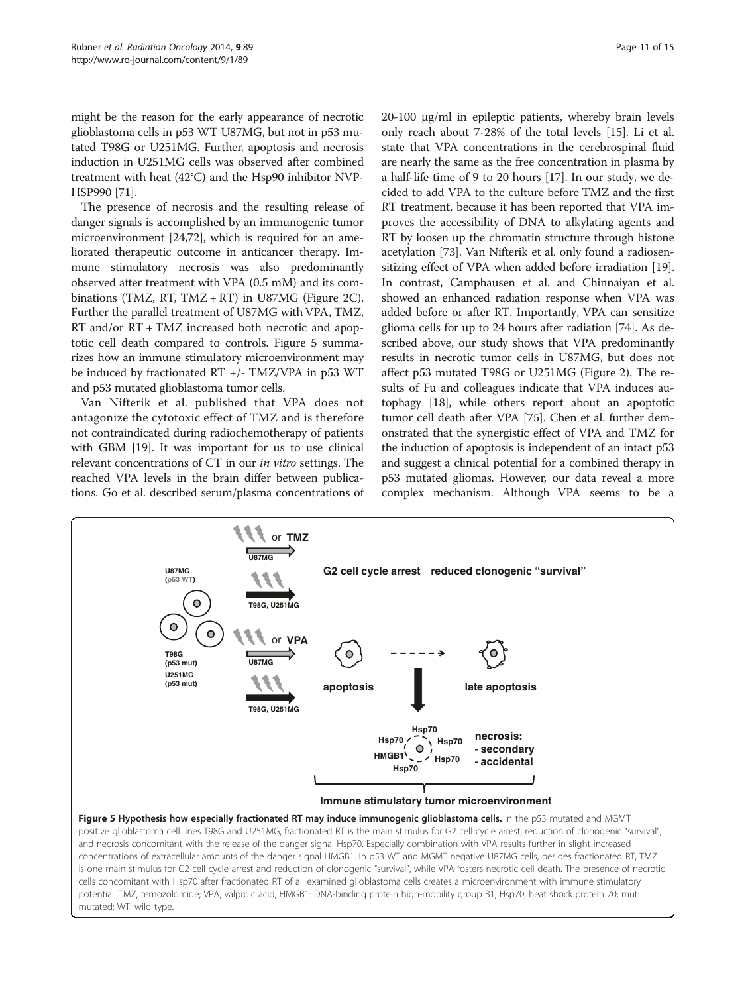might be the reason for the early appearance of necrotic glioblastoma cells in p53 WT U87MG, but not in p53 mutated T98G or U251MG. Further, apoptosis and necrosis induction in U251MG cells was observed after combined treatment with heat (42°C) and the Hsp90 inhibitor NVP-HSP990 [[71](#page-13-0)].

The presence of necrosis and the resulting release of danger signals is accomplished by an immunogenic tumor microenvironment [\[24,](#page-12-0)[72](#page-13-0)], which is required for an ameliorated therapeutic outcome in anticancer therapy. Immune stimulatory necrosis was also predominantly observed after treatment with VPA (0.5 mM) and its com-binations (TMZ, RT, TMZ + RT) in U87MG (Figure [2C](#page-5-0)). Further the parallel treatment of U87MG with VPA, TMZ, RT and/or RT + TMZ increased both necrotic and apoptotic cell death compared to controls. Figure 5 summarizes how an immune stimulatory microenvironment may be induced by fractionated RT +/- TMZ/VPA in p53 WT and p53 mutated glioblastoma tumor cells.

Van Nifterik et al. published that VPA does not antagonize the cytotoxic effect of TMZ and is therefore not contraindicated during radiochemotherapy of patients with GBM [\[19\]](#page-12-0). It was important for us to use clinical relevant concentrations of CT in our in vitro settings. The reached VPA levels in the brain differ between publications. Go et al. described serum/plasma concentrations of 20-100 μg/ml in epileptic patients, whereby brain levels only reach about 7-28% of the total levels [\[15\]](#page-12-0). Li et al. state that VPA concentrations in the cerebrospinal fluid are nearly the same as the free concentration in plasma by a half-life time of 9 to 20 hours [\[17](#page-12-0)]. In our study, we decided to add VPA to the culture before TMZ and the first RT treatment, because it has been reported that VPA improves the accessibility of DNA to alkylating agents and RT by loosen up the chromatin structure through histone acetylation [[73\]](#page-13-0). Van Nifterik et al. only found a radiosensitizing effect of VPA when added before irradiation [[19](#page-12-0)]. In contrast, Camphausen et al. and Chinnaiyan et al. showed an enhanced radiation response when VPA was added before or after RT. Importantly, VPA can sensitize glioma cells for up to 24 hours after radiation [\[74\]](#page-13-0). As described above, our study shows that VPA predominantly results in necrotic tumor cells in U87MG, but does not affect p53 mutated T98G or U251MG (Figure [2\)](#page-5-0). The results of Fu and colleagues indicate that VPA induces autophagy [[18](#page-12-0)], while others report about an apoptotic tumor cell death after VPA [\[75\]](#page-13-0). Chen et al. further demonstrated that the synergistic effect of VPA and TMZ for the induction of apoptosis is independent of an intact p53 and suggest a clinical potential for a combined therapy in p53 mutated gliomas. However, our data reveal a more complex mechanism. Although VPA seems to be a



positive glioblastoma cell lines T98G and U251MG, fractionated RT is the main stimulus for G2 cell cycle arrest, reduction of clonogenic "survival", and necrosis concomitant with the release of the danger signal Hsp70. Especially combination with VPA results further in slight increased concentrations of extracellular amounts of the danger signal HMGB1. In p53 WT and MGMT negative U87MG cells, besides fractionated RT, TMZ is one main stimulus for G2 cell cycle arrest and reduction of clonogenic "survival", while VPA fosters necrotic cell death. The presence of necrotic cells concomitant with Hsp70 after fractionated RT of all examined glioblastoma cells creates a microenvironment with immune stimulatory potential. TMZ, temozolomide; VPA, valproic acid, HMGB1: DNA-binding protein high-mobility group B1; Hsp70, heat shock protein 70; mut: mutated; WT: wild type.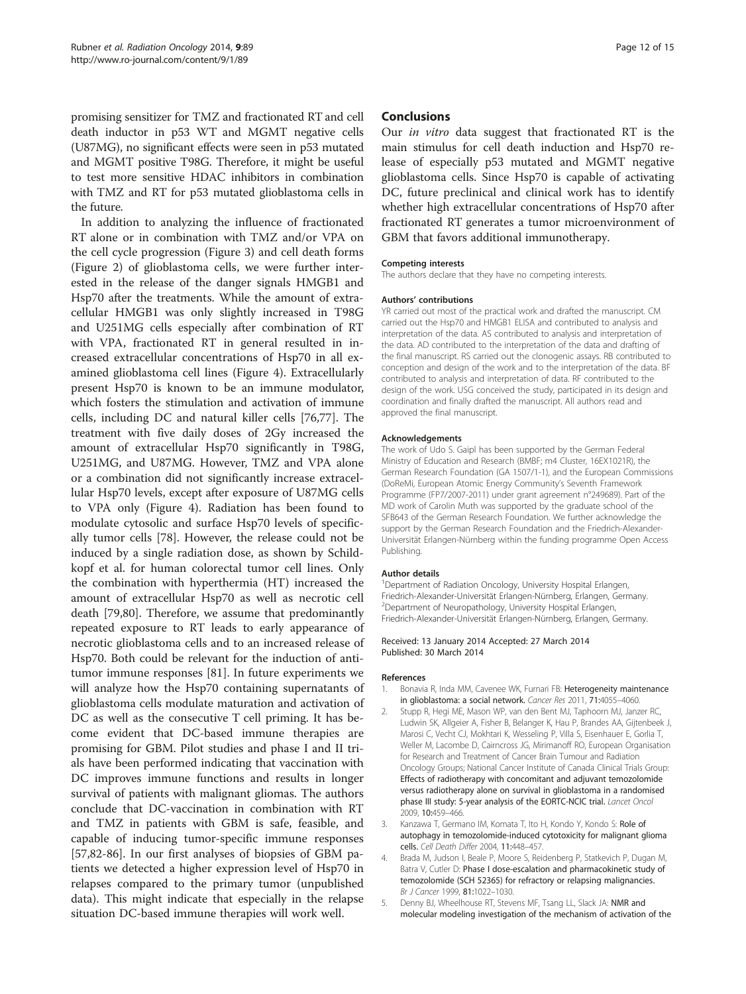<span id="page-11-0"></span>promising sensitizer for TMZ and fractionated RT and cell death inductor in p53 WT and MGMT negative cells (U87MG), no significant effects were seen in p53 mutated and MGMT positive T98G. Therefore, it might be useful to test more sensitive HDAC inhibitors in combination with TMZ and RT for p53 mutated glioblastoma cells in the future.

In addition to analyzing the influence of fractionated RT alone or in combination with TMZ and/or VPA on the cell cycle progression (Figure [3](#page-8-0)) and cell death forms (Figure [2\)](#page-5-0) of glioblastoma cells, we were further interested in the release of the danger signals HMGB1 and Hsp70 after the treatments. While the amount of extracellular HMGB1 was only slightly increased in T98G and U251MG cells especially after combination of RT with VPA, fractionated RT in general resulted in increased extracellular concentrations of Hsp70 in all examined glioblastoma cell lines (Figure [4](#page-8-0)). Extracellularly present Hsp70 is known to be an immune modulator, which fosters the stimulation and activation of immune cells, including DC and natural killer cells [\[76,77\]](#page-13-0). The treatment with five daily doses of 2Gy increased the amount of extracellular Hsp70 significantly in T98G, U251MG, and U87MG. However, TMZ and VPA alone or a combination did not significantly increase extracellular Hsp70 levels, except after exposure of U87MG cells to VPA only (Figure [4\)](#page-8-0). Radiation has been found to modulate cytosolic and surface Hsp70 levels of specifically tumor cells [\[78](#page-13-0)]. However, the release could not be induced by a single radiation dose, as shown by Schildkopf et al. for human colorectal tumor cell lines. Only the combination with hyperthermia (HT) increased the amount of extracellular Hsp70 as well as necrotic cell death [[79,80\]](#page-13-0). Therefore, we assume that predominantly repeated exposure to RT leads to early appearance of necrotic glioblastoma cells and to an increased release of Hsp70. Both could be relevant for the induction of antitumor immune responses [\[81](#page-13-0)]. In future experiments we will analyze how the Hsp70 containing supernatants of glioblastoma cells modulate maturation and activation of DC as well as the consecutive T cell priming. It has become evident that DC-based immune therapies are promising for GBM. Pilot studies and phase I and II trials have been performed indicating that vaccination with DC improves immune functions and results in longer survival of patients with malignant gliomas. The authors conclude that DC-vaccination in combination with RT and TMZ in patients with GBM is safe, feasible, and capable of inducing tumor-specific immune responses [[57,82-](#page-13-0)[86\]](#page-14-0). In our first analyses of biopsies of GBM patients we detected a higher expression level of Hsp70 in relapses compared to the primary tumor (unpublished data). This might indicate that especially in the relapse situation DC-based immune therapies will work well.

#### Conclusions

Our in vitro data suggest that fractionated RT is the main stimulus for cell death induction and Hsp70 release of especially p53 mutated and MGMT negative glioblastoma cells. Since Hsp70 is capable of activating DC, future preclinical and clinical work has to identify whether high extracellular concentrations of Hsp70 after fractionated RT generates a tumor microenvironment of GBM that favors additional immunotherapy.

#### Competing interests

The authors declare that they have no competing interests.

#### Authors' contributions

YR carried out most of the practical work and drafted the manuscript. CM carried out the Hsp70 and HMGB1 ELISA and contributed to analysis and interpretation of the data. AS contributed to analysis and interpretation of the data. AD contributed to the interpretation of the data and drafting of the final manuscript. RS carried out the clonogenic assays. RB contributed to conception and design of the work and to the interpretation of the data. BF contributed to analysis and interpretation of data. RF contributed to the design of the work. USG conceived the study, participated in its design and coordination and finally drafted the manuscript. All authors read and approved the final manuscript.

#### Acknowledgements

The work of Udo S. Gaipl has been supported by the German Federal Ministry of Education and Research (BMBF; m4 Cluster, 16EX1021R), the German Research Foundation (GA 1507/1-1), and the European Commissions (DoReMi, European Atomic Energy Community's Seventh Framework Programme (FP7/2007-2011) under grant agreement n°249689). Part of the MD work of Carolin Muth was supported by the graduate school of the SFB643 of the German Research Foundation. We further acknowledge the support by the German Research Foundation and the Friedrich-Alexander-Universität Erlangen-Nürnberg within the funding programme Open Access Publishing.

#### Author details

<sup>1</sup>Department of Radiation Oncology, University Hospital Erlangen, Friedrich-Alexander-Universität Erlangen-Nürnberg, Erlangen, Germany. <sup>2</sup> Department of Neuropathology, University Hospital Erlangen, Friedrich-Alexander-Universität Erlangen-Nürnberg, Erlangen, Germany.

#### Received: 13 January 2014 Accepted: 27 March 2014 Published: 30 March 2014

#### References

- 1. Bonavia R, Inda MM, Cavenee WK, Furnari FB: Heterogeneity maintenance in glioblastoma: a social network. Cancer Res 2011, 71:4055–4060.
- 2. Stupp R, Hegi ME, Mason WP, van den Bent MJ, Taphoorn MJ, Janzer RC, Ludwin SK, Allgeier A, Fisher B, Belanger K, Hau P, Brandes AA, Gijtenbeek J, Marosi C, Vecht CJ, Mokhtari K, Wesseling P, Villa S, Eisenhauer E, Gorlia T, Weller M, Lacombe D, Cairncross JG, Mirimanoff RO, European Organisation for Research and Treatment of Cancer Brain Tumour and Radiation Oncology Groups; National Cancer Institute of Canada Clinical Trials Group: Effects of radiotherapy with concomitant and adjuvant temozolomide versus radiotherapy alone on survival in glioblastoma in a randomised phase III study: 5-year analysis of the EORTC-NCIC trial. Lancet Oncol 2009, 10:459–466.
- Kanzawa T, Germano IM, Komata T, Ito H, Kondo Y, Kondo S: Role of autophagy in temozolomide-induced cytotoxicity for malignant glioma cells. Cell Death Differ 2004, 11:448–457.
- 4. Brada M, Judson I, Beale P, Moore S, Reidenberg P, Statkevich P, Dugan M, Batra V, Cutler D: Phase I dose-escalation and pharmacokinetic study of temozolomide (SCH 52365) for refractory or relapsing malignancies. Br J Cancer 1999, 81:1022–1030.
- 5. Denny BJ, Wheelhouse RT, Stevens MF, Tsang LL, Slack JA: NMR and molecular modeling investigation of the mechanism of activation of the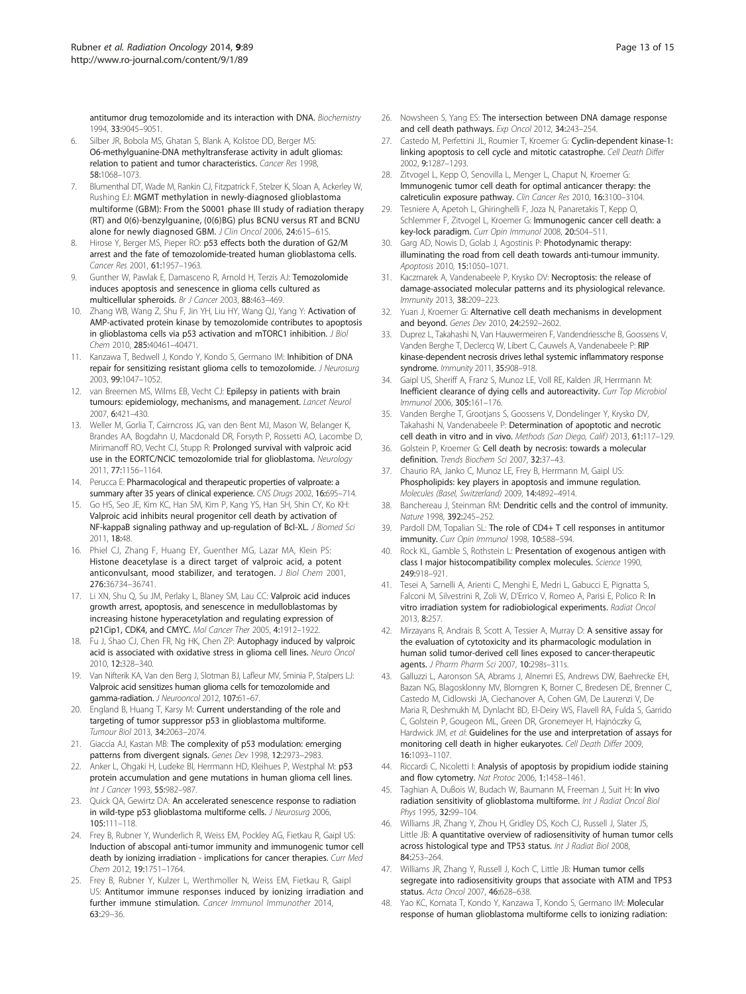<span id="page-12-0"></span>antitumor drug temozolomide and its interaction with DNA. Biochemistry 1994, 33:9045–9051.

- 6. Silber JR, Bobola MS, Ghatan S, Blank A, Kolstoe DD, Berger MS: O6-methylguanine-DNA methyltransferase activity in adult gliomas: relation to patient and tumor characteristics. Cancer Res 1998, 58:1068–1073.
- 7. Blumenthal DT, Wade M, Rankin CJ, Fitzpatrick F, Stelzer K, Sloan A, Ackerley W, Rushing EJ: MGMT methylation in newly-diagnosed glioblastoma multiforme (GBM): From the S0001 phase III study of radiation therapy (RT) and 0(6)-benzylguanine, (0(6)BG) plus BCNU versus RT and BCNU alone for newly diagnosed GBM. J Clin Oncol 2006, 24:61S-61S.
- 8. Hirose Y, Berger MS, Pieper RO: p53 effects both the duration of G2/M arrest and the fate of temozolomide-treated human glioblastoma cells. Cancer Res 2001, 61:1957–1963.
- Gunther W, Pawlak E, Damasceno R, Arnold H, Terzis AJ: Temozolomide induces apoptosis and senescence in glioma cells cultured as multicellular spheroids. Br J Cancer 2003, 88:463–469.
- Zhang WB, Wang Z, Shu F, Jin YH, Liu HY, Wang QJ, Yang Y: Activation of AMP-activated protein kinase by temozolomide contributes to apoptosis in glioblastoma cells via p53 activation and mTORC1 inhibition. J Biol Chem 2010, 285:40461–40471.
- 11. Kanzawa T, Bedwell J, Kondo Y, Kondo S, Germano IM: Inhibition of DNA repair for sensitizing resistant glioma cells to temozolomide. J Neurosurg 2003, 99:1047–1052.
- 12. van Breemen MS, Wilms EB, Vecht CJ: Epilepsy in patients with brain tumours: epidemiology, mechanisms, and management. Lancet Neurol 2007, 6:421–430.
- 13. Weller M, Gorlia T, Cairncross JG, van den Bent MJ, Mason W, Belanger K, Brandes AA, Bogdahn U, Macdonald DR, Forsyth P, Rossetti AO, Lacombe D, Mirimanoff RO, Vecht CJ, Stupp R: Prolonged survival with valproic acid use in the EORTC/NCIC temozolomide trial for glioblastoma. Neurology 2011, 77:1156–1164.
- 14. Perucca E: Pharmacological and therapeutic properties of valproate: a summary after 35 years of clinical experience. CNS Drugs 2002, 16:695-714.
- 15. Go HS, Seo JE, Kim KC, Han SM, Kim P, Kang YS, Han SH, Shin CY, Ko KH: Valproic acid inhibits neural progenitor cell death by activation of NF-kappaB signaling pathway and up-regulation of Bcl-XL. J Biomed Sci 2011, 18:48.
- 16. Phiel CJ, Zhang F, Huang EY, Guenther MG, Lazar MA, Klein PS: Histone deacetylase is a direct target of valproic acid, a potent anticonvulsant, mood stabilizer, and teratogen. J Biol Chem 2001, 276:36734–36741.
- 17. Li XN, Shu Q, Su JM, Perlaky L, Blaney SM, Lau CC: Valproic acid induces growth arrest, apoptosis, and senescence in medulloblastomas by increasing histone hyperacetylation and regulating expression of p21Cip1, CDK4, and CMYC. Mol Cancer Ther 2005, 4:1912–1922.
- 18. Fu J, Shao CJ, Chen FR, Ng HK, Chen ZP: Autophagy induced by valproic acid is associated with oxidative stress in glioma cell lines. Neuro Oncol 2010, 12:328–340.
- 19. Van Nifterik KA, Van den Berg J, Slotman BJ, Lafleur MV, Sminia P, Stalpers LJ: Valproic acid sensitizes human glioma cells for temozolomide and gamma-radiation. J Neurooncol 2012, 107:61–67.
- 20. England B, Huang T, Karsy M: Current understanding of the role and targeting of tumor suppressor p53 in glioblastoma multiforme. Tumour Biol 2013, 34:2063–2074.
- 21. Giaccia AJ, Kastan MB: The complexity of p53 modulation: emerging patterns from divergent signals. Genes Dev 1998, 12:2973–2983.
- 22. Anker L, Ohgaki H, Ludeke BI, Herrmann HD, Kleihues P, Westphal M: p53 protein accumulation and gene mutations in human glioma cell lines. Int J Cancer 1993, 55:982–987.
- 23. Quick QA, Gewirtz DA: An accelerated senescence response to radiation in wild-type p53 glioblastoma multiforme cells. J Neurosurg 2006, 105:111–118.
- 24. Frey B, Rubner Y, Wunderlich R, Weiss EM, Pockley AG, Fietkau R, Gaipl US: Induction of abscopal anti-tumor immunity and immunogenic tumor cell death by ionizing irradiation - implications for cancer therapies. Curr Med Chem 2012, 19:1751–1764.
- 25. Frey B, Rubner Y, Kulzer L, Werthmoller N, Weiss EM, Fietkau R, Gaipl US: Antitumor immune responses induced by ionizing irradiation and further immune stimulation. Cancer Immunol Immunother 2014, 63:29–36.
- 26. Nowsheen S, Yang ES: The intersection between DNA damage response and cell death pathways. Exp Oncol 2012, 34:243–254.
- 27. Castedo M, Perfettini JL, Roumier T, Kroemer G: Cyclin-dependent kinase-1: linking apoptosis to cell cycle and mitotic catastrophe. Cell Death Differ 2002, 9:1287–1293.
- 28. Zitvogel L, Kepp O, Senovilla L, Menger L, Chaput N, Kroemer G: Immunogenic tumor cell death for optimal anticancer therapy: the calreticulin exposure pathway. Clin Cancer Res 2010, 16:3100–3104.
- 29. Tesniere A, Apetoh L, Ghiringhelli F, Joza N, Panaretakis T, Kepp O, Schlemmer F, Zitvogel L, Kroemer G: Immunogenic cancer cell death: a key-lock paradigm. Curr Opin Immunol 2008, 20:504–511.
- 30. Garg AD, Nowis D, Golab J, Agostinis P: Photodynamic therapy: illuminating the road from cell death towards anti-tumour immunity. Apoptosis 2010, 15:1050–1071.
- Kaczmarek A, Vandenabeele P, Krysko DV: Necroptosis: the release of damage-associated molecular patterns and its physiological relevance. Immunity 2013, 38:209–223.
- Yuan J, Kroemer G: Alternative cell death mechanisms in development and beyond. Genes Dev 2010, 24:2592–2602.
- 33. Duprez L, Takahashi N, Van Hauwermeiren F, Vandendriessche B, Goossens V, Vanden Berghe T, Declercq W, Libert C, Cauwels A, Vandenabeele P: RIP kinase-dependent necrosis drives lethal systemic inflammatory response syndrome. Immunity 2011, 35:908–918.
- 34. Gaipl US, Sheriff A, Franz S, Munoz LE, Voll RE, Kalden JR, Herrmann M: Inefficient clearance of dying cells and autoreactivity. Curr Top Microbiol Immunol 2006, 305:161–176.
- 35. Vanden Berghe T, Grootjans S, Goossens V, Dondelinger Y, Krysko DV, Takahashi N, Vandenabeele P: Determination of apoptotic and necrotic cell death in vitro and in vivo. Methods (San Diego, Calif) 2013, 61:117–129.
- 36. Golstein P, Kroemer G: Cell death by necrosis: towards a molecular definition. Trends Biochem Sci 2007, 32:37–43.
- 37. Chaurio RA, Janko C, Munoz LE, Frey B, Herrmann M, Gaipl US: Phospholipids: key players in apoptosis and immune regulation. Molecules (Basel, Switzerland) 2009, 14:4892–4914.
- 38. Banchereau J, Steinman RM: Dendritic cells and the control of immunity. Nature 1998, 392:245–252.
- 39. Pardoll DM, Topalian SL: The role of CD4+ T cell responses in antitumor immunity. Curr Opin Immunol 1998, 10:588-594.
- 40. Rock KL, Gamble S, Rothstein L: Presentation of exogenous antigen with class I major histocompatibility complex molecules. Science 1990, 249:918–921.
- 41. Tesei A, Sarnelli A, Arienti C, Menghi E, Medri L, Gabucci E, Pignatta S, Falconi M, Silvestrini R, Zoli W, D'Errico V, Romeo A, Parisi E, Polico R: In vitro irradiation system for radiobiological experiments. Radiat Oncol 2013, 8:257.
- 42. Mirzayans R, Andrais B, Scott A, Tessier A, Murray D: A sensitive assay for the evaluation of cytotoxicity and its pharmacologic modulation in human solid tumor-derived cell lines exposed to cancer-therapeutic agents. J Pharm Pharm Sci 2007, 10:298s–311s.
- 43. Galluzzi L, Aaronson SA, Abrams J, Alnemri ES, Andrews DW, Baehrecke EH, Bazan NG, Blagosklonny MV, Blomgren K, Borner C, Bredesen DE, Brenner C, Castedo M, Cidlowski JA, Ciechanover A, Cohen GM, De Laurenzi V, De Maria R, Deshmukh M, Dynlacht BD, El-Deiry WS, Flavell RA, Fulda S, Garrido C, Golstein P, Gougeon ML, Green DR, Gronemeyer H, Hajnóczky G, Hardwick JM, et al: Guidelines for the use and interpretation of assays for monitoring cell death in higher eukaryotes. Cell Death Differ 2009, 16:1093–1107.
- 44. Riccardi C, Nicoletti I: Analysis of apoptosis by propidium iodide staining and flow cytometry. Nat Protoc 2006, 1:1458–1461.
- 45. Taghian A, DuBois W, Budach W, Baumann M, Freeman J, Suit H: In vivo radiation sensitivity of glioblastoma multiforme. Int J Radiat Oncol Biol Phys 1995, 32:99–104.
- 46. Williams JR, Zhang Y, Zhou H, Gridley DS, Koch CJ, Russell J, Slater JS, Little JB: A quantitative overview of radiosensitivity of human tumor cells across histological type and TP53 status. Int J Radiat Biol 2008, 84:253–264.
- 47. Williams JR, Zhang Y, Russell J, Koch C, Little JB: Human tumor cells segregate into radiosensitivity groups that associate with ATM and TP53 status. Acta Oncol 2007, 46:628–638.
- 48. Yao KC, Komata T, Kondo Y, Kanzawa T, Kondo S, Germano IM: Molecular response of human glioblastoma multiforme cells to ionizing radiation: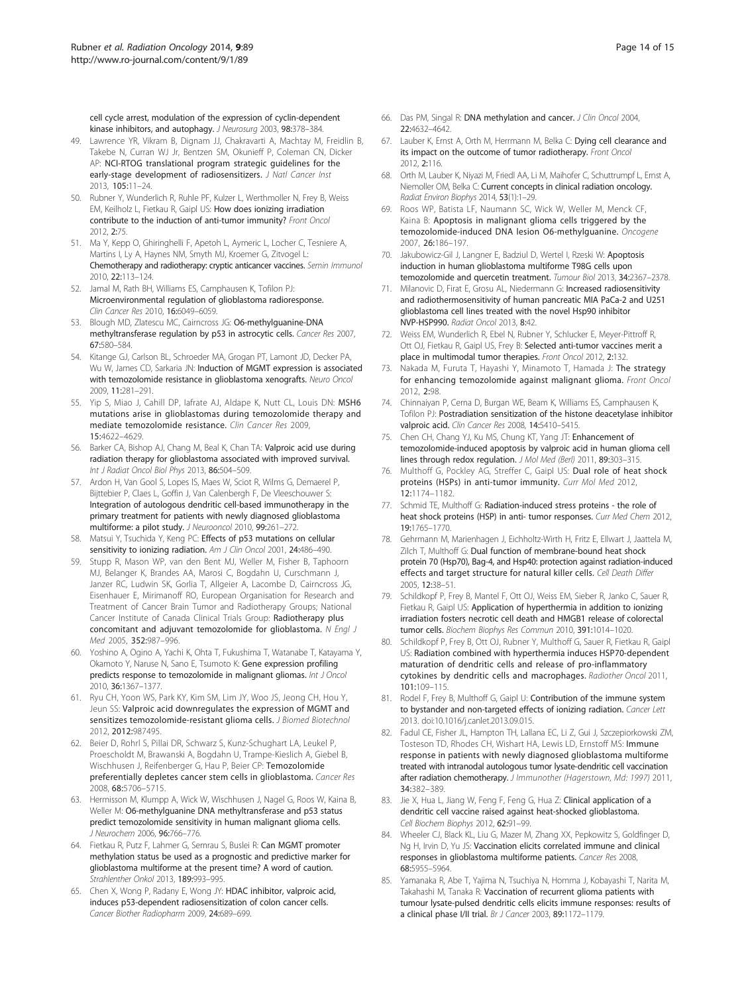<span id="page-13-0"></span>cell cycle arrest, modulation of the expression of cyclin-dependent kinase inhibitors, and autophagy. J Neurosurg 2003, 98:378-384.

- 49. Lawrence YR, Vikram B, Dignam JJ, Chakravarti A, Machtay M, Freidlin B, Takebe N, Curran WJ Jr, Bentzen SM, Okunieff P, Coleman CN, Dicker AP: NCI-RTOG translational program strategic guidelines for the early-stage development of radiosensitizers. J Natl Cancer Inst 2013, 105:11–24.
- 50. Rubner Y, Wunderlich R, Ruhle PF, Kulzer L, Werthmoller N, Frey B, Weiss EM, Keilholz L, Fietkau R, Gaipl US: How does ionizing irradiation contribute to the induction of anti-tumor immunity? Front Oncol 2012, 2:75.
- 51. Ma Y, Kepp O, Ghiringhelli F, Apetoh L, Aymeric L, Locher C, Tesniere A, Martins I, Ly A, Haynes NM, Smyth MJ, Kroemer G, Zitvogel L: Chemotherapy and radiotherapy: cryptic anticancer vaccines. Semin Immunol 2010, 22:113–124.
- 52. Jamal M, Rath BH, Williams ES, Camphausen K, Tofilon PJ: Microenvironmental regulation of glioblastoma radioresponse. Clin Cancer Res 2010, 16:6049–6059.
- 53. Blough MD, Zlatescu MC, Cairncross JG: O6-methylguanine-DNA methyltransferase regulation by p53 in astrocytic cells. Cancer Res 2007, 67:580–584.
- 54. Kitange GJ, Carlson BL, Schroeder MA, Grogan PT, Lamont JD, Decker PA, Wu W, James CD, Sarkaria JN: Induction of MGMT expression is associated with temozolomide resistance in glioblastoma xenografts. Neuro Oncol 2009, 11:281–291.
- 55. Yip S, Miao J, Cahill DP, Iafrate AJ, Aldape K, Nutt CL, Louis DN: MSH6 mutations arise in glioblastomas during temozolomide therapy and mediate temozolomide resistance. Clin Cancer Res 2009, 15:4622–4629.
- 56. Barker CA, Bishop AJ, Chang M, Beal K, Chan TA: Valproic acid use during radiation therapy for glioblastoma associated with improved survival. Int J Radiat Oncol Biol Phys 2013, 86:504–509.
- 57. Ardon H, Van Gool S, Lopes IS, Maes W, Sciot R, Wilms G, Demaerel P, Bijttebier P, Claes L, Goffin J, Van Calenbergh F, De Vleeschouwer S: Integration of autologous dendritic cell-based immunotherapy in the primary treatment for patients with newly diagnosed glioblastoma multiforme: a pilot study. J Neurooncol 2010, 99:261–272.
- 58. Matsui Y, Tsuchida Y, Keng PC: Effects of p53 mutations on cellular sensitivity to ionizing radiation. Am J Clin Oncol 2001, 24:486-490.
- 59. Stupp R, Mason WP, van den Bent MJ, Weller M, Fisher B, Taphoorn MJ, Belanger K, Brandes AA, Marosi C, Bogdahn U, Curschmann J, Janzer RC, Ludwin SK, Gorlia T, Allgeier A, Lacombe D, Cairncross JG, Eisenhauer E, Mirimanoff RO, European Organisation for Research and Treatment of Cancer Brain Tumor and Radiotherapy Groups; National Cancer Institute of Canada Clinical Trials Group: Radiotherapy plus concomitant and adjuvant temozolomide for glioblastoma. N Engl J Med 2005, 352:987–996.
- 60. Yoshino A, Ogino A, Yachi K, Ohta T, Fukushima T, Watanabe T, Katayama Y, Okamoto Y, Naruse N, Sano E, Tsumoto K: Gene expression profiling predicts response to temozolomide in malignant gliomas. Int J Oncol 2010, 36:1367–1377.
- 61. Ryu CH, Yoon WS, Park KY, Kim SM, Lim JY, Woo JS, Jeong CH, Hou Y, Jeun SS: Valproic acid downregulates the expression of MGMT and sensitizes temozolomide-resistant glioma cells. J Biomed Biotechnol 2012, 2012:987495.
- 62. Beier D, Rohrl S, Pillai DR, Schwarz S, Kunz-Schughart LA, Leukel P, Proescholdt M, Brawanski A, Bogdahn U, Trampe-Kieslich A, Giebel B, Wischhusen J, Reifenberger G, Hau P, Beier CP: Temozolomide preferentially depletes cancer stem cells in glioblastoma. Cancer Res 2008, 68:5706–5715.
- 63. Hermisson M, Klumpp A, Wick W, Wischhusen J, Nagel G, Roos W, Kaina B, Weller M: O6-methylguanine DNA methyltransferase and p53 status predict temozolomide sensitivity in human malignant glioma cells. J Neurochem 2006, 96:766–776.
- 64. Fietkau R, Putz F, Lahmer G, Semrau S, Buslei R: Can MGMT promoter methylation status be used as a prognostic and predictive marker for glioblastoma multiforme at the present time? A word of caution. Strahlenther Onkol 2013, 189:993–995.
- 65. Chen X, Wong P, Radany E, Wong JY: HDAC inhibitor, valproic acid, induces p53-dependent radiosensitization of colon cancer cells. Cancer Biother Radiopharm 2009, 24:689–699.
- 66. Das PM, Singal R: DNA methylation and cancer. J Clin Oncol 2004, 22:4632–4642.
- 67. Lauber K, Ernst A, Orth M, Herrmann M, Belka C: Dying cell clearance and its impact on the outcome of tumor radiotherapy. Front Oncol 2012, 2:116.
- 68. Orth M, Lauber K, Niyazi M, Friedl AA, Li M, Maihofer C, Schuttrumpf L, Ernst A, Niemoller OM, Belka C: Current concepts in clinical radiation oncology. Radiat Environ Biophys 2014, 53(1):1–29.
- 69. Roos WP, Batista LF, Naumann SC, Wick W, Weller M, Menck CF, Kaina B: Apoptosis in malignant glioma cells triggered by the temozolomide-induced DNA lesion O6-methylguanine. Oncogene 2007, 26:186–197.
- 70. Jakubowicz-Gil J, Langner E, Badziul D, Wertel I, Rzeski W: Apoptosis induction in human glioblastoma multiforme T98G cells upon temozolomide and quercetin treatment. Tumour Biol 2013, 34:2367–2378.
- 71. Milanovic D, Firat E, Grosu AL, Niedermann G: Increased radiosensitivity and radiothermosensitivity of human pancreatic MIA PaCa-2 and U251 glioblastoma cell lines treated with the novel Hsp90 inhibitor NVP-HSP990. Radiat Oncol 2013, 8:42.
- 72. Weiss EM, Wunderlich R, Ebel N, Rubner Y, Schlucker E, Meyer-Pittroff R, Ott OJ, Fietkau R, Gaipl US, Frey B: Selected anti-tumor vaccines merit a place in multimodal tumor therapies. Front Oncol 2012, 2:132.
- 73. Nakada M, Furuta T, Hayashi Y, Minamoto T, Hamada J: The strategy for enhancing temozolomide against malignant glioma. Front Oncol 2012, 2:98.
- 74. Chinnaiyan P, Cerna D, Burgan WE, Beam K, Williams ES, Camphausen K, Tofilon PJ: Postradiation sensitization of the histone deacetylase inhibitor valproic acid. Clin Cancer Res 2008, 14:5410-5415.
- 75. Chen CH, Chang YJ, Ku MS, Chung KT, Yang JT: Enhancement of temozolomide-induced apoptosis by valproic acid in human glioma cell lines through redox regulation. J Mol Med (Berl) 2011, 89:303-315.
- 76. Multhoff G, Pockley AG, Streffer C, Gaipl US: Dual role of heat shock proteins (HSPs) in anti-tumor immunity. Curr Mol Med 2012, 12:1174–1182.
- 77. Schmid TE, Multhoff G: Radiation-induced stress proteins the role of heat shock proteins (HSP) in anti- tumor responses. Curr Med Chem 2012, 19:1765–1770.
- 78. Gehrmann M, Marienhagen J, Eichholtz-Wirth H, Fritz E, Ellwart J, Jaattela M, Zilch T, Multhoff G: Dual function of membrane-bound heat shock protein 70 (Hsp70), Bag-4, and Hsp40: protection against radiation-induced effects and target structure for natural killer cells. Cell Death Differ 2005, 12:38–51.
- 79. Schildkopf P, Frey B, Mantel F, Ott OJ, Weiss EM, Sieber R, Janko C, Sauer R, Fietkau R, Gaipl US: Application of hyperthermia in addition to ionizing irradiation fosters necrotic cell death and HMGB1 release of colorectal tumor cells. Biochem Biophys Res Commun 2010, 391:1014–1020.
- Schildkopf P, Frey B, Ott OJ, Rubner Y, Multhoff G, Sauer R, Fietkau R, Gaipl US: Radiation combined with hyperthermia induces HSP70-dependent maturation of dendritic cells and release of pro-inflammatory cytokines by dendritic cells and macrophages. Radiother Oncol 2011, 101:109–115.
- 81. Rodel F, Frey B, Multhoff G, Gaipl U: Contribution of the immune system to bystander and non-targeted effects of ionizing radiation. Cancer Lett 2013. doi:10.1016/j.canlet.2013.09.015.
- 82. Fadul CE, Fisher JL, Hampton TH, Lallana EC, Li Z, Gui J, Szczepiorkowski ZM, Tosteson TD, Rhodes CH, Wishart HA, Lewis LD, Ernstoff MS: Immune response in patients with newly diagnosed glioblastoma multiforme treated with intranodal autologous tumor lysate-dendritic cell vaccination after radiation chemotherapy. J Immunother (Hagerstown, Md: 1997) 2011, 34:382–389.
- 83. Jie X, Hua L, Jiang W, Feng F, Feng G, Hua Z: Clinical application of a dendritic cell vaccine raised against heat-shocked glioblastoma. Cell Biochem Biophys 2012, 62:91–99.
- 84. Wheeler CJ, Black KL, Liu G, Mazer M, Zhang XX, Pepkowitz S, Goldfinger D, Ng H, Irvin D, Yu JS: Vaccination elicits correlated immune and clinical responses in glioblastoma multiforme patients. Cancer Res 2008, 68:5955–5964.
- 85. Yamanaka R, Abe T, Yajima N, Tsuchiya N, Homma J, Kobayashi T, Narita M, Takahashi M, Tanaka R: Vaccination of recurrent glioma patients with tumour lysate-pulsed dendritic cells elicits immune responses: results of a clinical phase I/II trial. Br J Cancer 2003, 89:1172–1179.